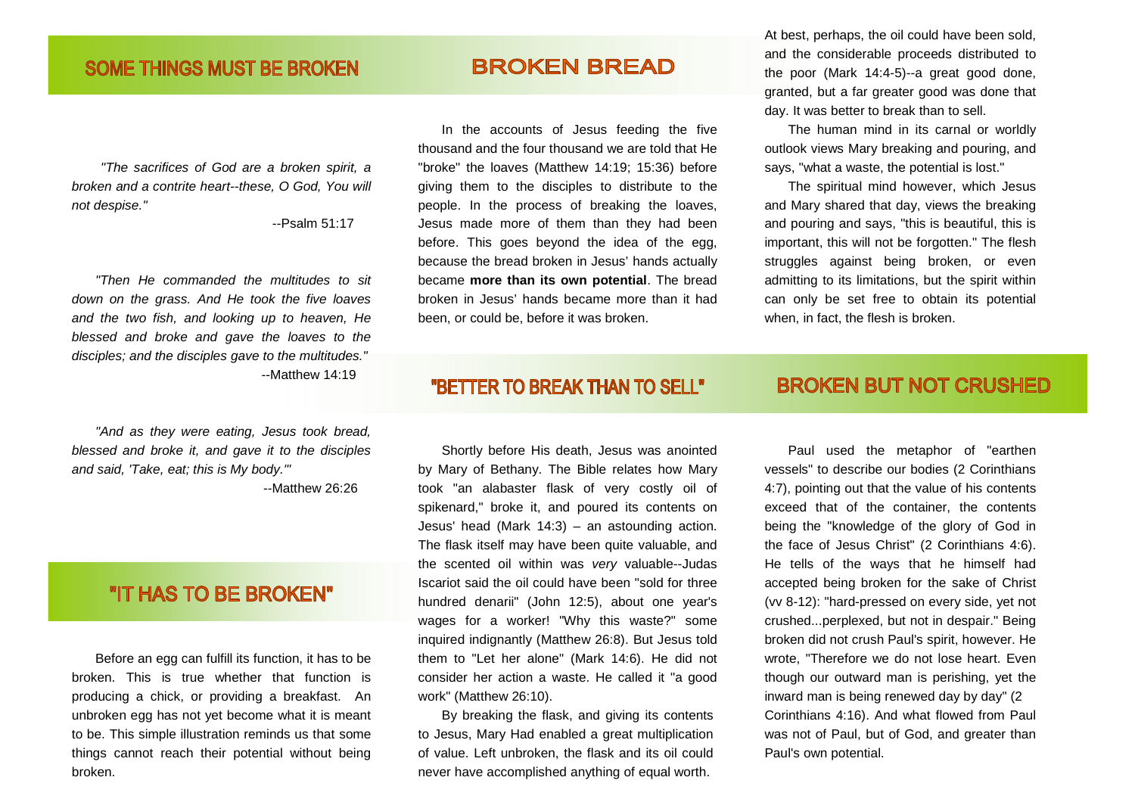#### "The sacrifices of God are a broken spirit, a broken and a contrite heart--these, O God, You willnot despise."

--Psalm 51:17

"Then He commanded the multitudes to sit down on the grass. And He took the five loaves and the two fish, and looking up to heaven, He blessed and broke and gave the loaves to the disciples; and the disciples gave to the multitudes." --Matthew 14:19

"And as they were eating, Jesus took bread, blessed and broke it, and gave it to the disciples and said, 'Take, eat; this is My body.'" --Matthew 26:26

## "IT HAS TO BE BROKEN"

 Before an egg can fulfill its function, it has to be broken. This is true whether that function is producing a chick, or providing a breakfast. An unbroken egg has not yet become what it is meant to be. This simple illustration reminds us that some things cannot reach their potential without being broken.

# **BROKEN BREAD**

 In the accounts of Jesus feeding the five thousand and the four thousand we are told that He "broke" the loaves (Matthew 14:19; 15:36) before giving them to the disciples to distribute to the people. In the process of breaking the loaves, Jesus made more of them than they had been before. This goes beyond the idea of the egg, because the bread broken in Jesus' hands actually became **more than its own potential**. The bread broken in Jesus' hands became more than it had been, or could be, before it was broken.

"BETTER TO BREAK THAN TO SELL"

 Shortly before His death, Jesus was anointed by Mary of Bethany. The Bible relates how Mary took "an alabaster flask of very costly oil of spikenard," broke it, and poured its contents on Jesus' head (Mark 14:3) – an astounding action. The flask itself may have been quite valuable, and the scented oil within was very valuable--Judas Iscariot said the oil could have been "sold for three hundred denarii" (John 12:5), about one year's wages for a worker! "Why this waste?" some inquired indignantly (Matthew 26:8). But Jesus told them to "Let her alone" (Mark 14:6). He did not consider her action a waste. He called it "a good work" (Matthew 26:10).

 By breaking the flask, and giving its contents to Jesus, Mary Had enabled a great multiplication of value. Left unbroken, the flask and its oil could never have accomplished anything of equal worth.

At best, perhaps, the oil could have been sold, and the considerable proceeds distributed to the poor (Mark 14:4-5)--a great good done, granted, but a far greater good was done that day. It was better to break than to sell.

 The human mind in its carnal or worldly outlook views Mary breaking and pouring, and says, "what a waste, the potential is lost."

 The spiritual mind however, which Jesus and Mary shared that day, views the breaking and pouring and says, "this is beautiful, this is important, this will not be forgotten." The flesh struggles against being broken, or even admitting to its limitations, but the spirit within can only be set free to obtain its potential when, in fact, the flesh is broken.

### **BROKEN BUT NOT CRUSHED**

 Paul used the metaphor of "earthen vessels" to describe our bodies (2 Corinthians 4:7), pointing out that the value of his contents exceed that of the container, the contents being the "knowledge of the glory of God in the face of Jesus Christ" (2 Corinthians 4:6). He tells of the ways that he himself had accepted being broken for the sake of Christ (vv 8-12): "hard-pressed on every side, yet not crushed...perplexed, but not in despair." Being broken did not crush Paul's spirit, however. He wrote, "Therefore we do not lose heart. Even though our outward man is perishing, yet the inward man is being renewed day by day" (2 Corinthians 4:16). And what flowed from Paul was not of Paul, but of God, and greater than Paul's own potential.